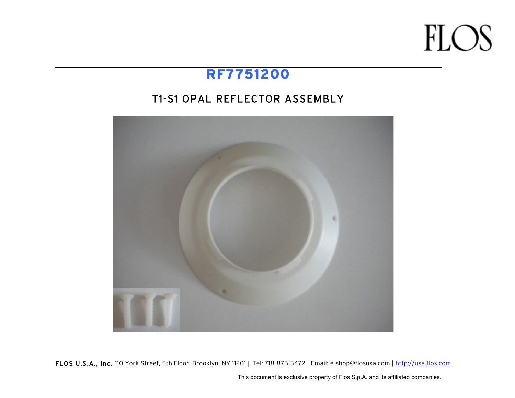### **FLOS**

### **RF7751200**

#### T1-S1 OPAL REFLECTOR ASSEMBLY



FLOS U.S.A., Inc. 110 York Street, 5th Floor, Brooklyn, NY 11201 | Tel: 718-875-3472 | Email: e-shop@flosusa.com | http://usa.flos.com

This document is exclusive property of Flos S.p.A. and its affiliated companies.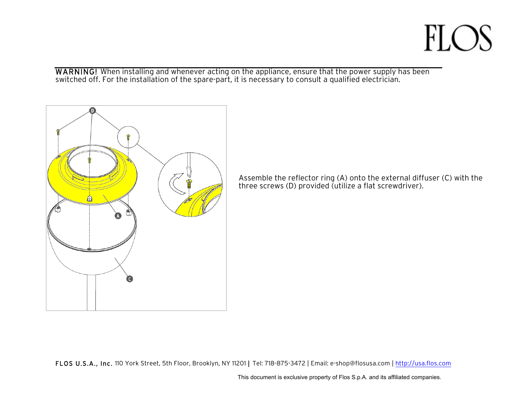## **FLOS**

WARNING! When installing and whenever acting on the appliance, ensure that the power supply has been switched off. For the installation of the spare-part, it is necessary to consult a qualified electrician.



Assemble the reflector ring (A) onto the external diffuser (C) with the three screws (D) provided (utilize a flat screwdriver).

FLOS U.S.A., Inc. 110 York Street, 5th Floor, Brooklyn, NY 11201 | Tel: 718-875-3472 | Email: e-shop@flosusa.com | http://usa.flos.com